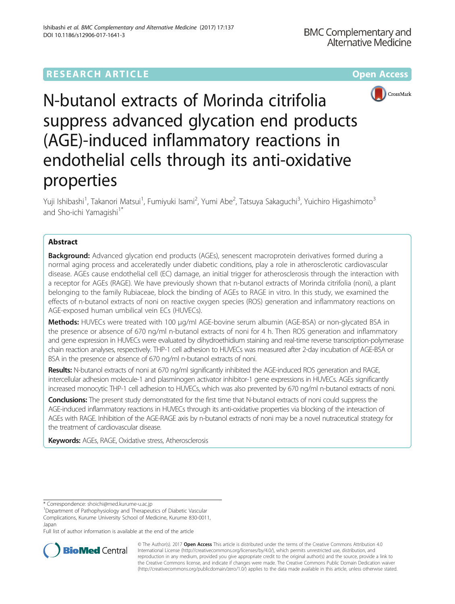# **RESEARCH ARTICLE Example 2014 12:30 The Community Community Community Community Community Community Community**



N-butanol extracts of Morinda citrifolia suppress advanced glycation end products (AGE)-induced inflammatory reactions in endothelial cells through its anti-oxidative properties

Yuji Ishibashi<sup>1</sup>, Takanori Matsui<sup>1</sup>, Fumiyuki Isami<sup>2</sup>, Yumi Abe<sup>2</sup>, Tatsuya Sakaguchi<sup>3</sup>, Yuichiro Higashimoto<sup>3</sup> and Sho-ichi Yamagishi<sup>1\*</sup>

## Abstract

**Background:** Advanced glycation end products (AGEs), senescent macroprotein derivatives formed during a normal aging process and acceleratedly under diabetic conditions, play a role in atherosclerotic cardiovascular disease. AGEs cause endothelial cell (EC) damage, an initial trigger for atherosclerosis through the interaction with a receptor for AGEs (RAGE). We have previously shown that n-butanol extracts of Morinda citrifolia (noni), a plant belonging to the family Rubiaceae, block the binding of AGEs to RAGE in vitro. In this study, we examined the effects of n-butanol extracts of noni on reactive oxygen species (ROS) generation and inflammatory reactions on AGE-exposed human umbilical vein ECs (HUVECs).

**Methods:** HUVECs were treated with 100 μg/ml AGE-bovine serum albumin (AGE-BSA) or non-glycated BSA in the presence or absence of 670 ng/ml n-butanol extracts of noni for 4 h. Then ROS generation and inflammatory and gene expression in HUVECs were evaluated by dihydroethidium staining and real-time reverse transcription-polymerase chain reaction analyses, respectively. THP-1 cell adhesion to HUVECs was measured after 2-day incubation of AGE-BSA or BSA in the presence or absence of 670 ng/ml n-butanol extracts of noni.

Results: N-butanol extracts of noni at 670 ng/ml significantly inhibited the AGE-induced ROS generation and RAGE, intercellular adhesion molecule-1 and plasminogen activator inhibitor-1 gene expressions in HUVECs. AGEs significantly increased monocytic THP-1 cell adhesion to HUVECs, which was also prevented by 670 ng/ml n-butanol extracts of noni.

Conclusions: The present study demonstrated for the first time that N-butanol extracts of noni could suppress the AGE-induced inflammatory reactions in HUVECs through its anti-oxidative properties via blocking of the interaction of AGEs with RAGE. Inhibition of the AGE-RAGE axis by n-butanol extracts of noni may be a novel nutraceutical strategy for the treatment of cardiovascular disease.

Keywords: AGEs, RAGE, Oxidative stress, Atherosclerosis

<sup>1</sup>Department of Pathophysiology and Therapeutics of Diabetic Vascular Complications, Kurume University School of Medicine, Kurume 830-0011, Japan

Full list of author information is available at the end of the article



© The Author(s). 2017 **Open Access** This article is distributed under the terms of the Creative Commons Attribution 4.0 International License [\(http://creativecommons.org/licenses/by/4.0/](http://creativecommons.org/licenses/by/4.0/)), which permits unrestricted use, distribution, and reproduction in any medium, provided you give appropriate credit to the original author(s) and the source, provide a link to the Creative Commons license, and indicate if changes were made. The Creative Commons Public Domain Dedication waiver [\(http://creativecommons.org/publicdomain/zero/1.0/](http://creativecommons.org/publicdomain/zero/1.0/)) applies to the data made available in this article, unless otherwise stated.

<sup>\*</sup> Correspondence: [shoichi@med.kurume-u.ac.jp](mailto:shoichi@med.kurume-u.ac.jp) <sup>1</sup>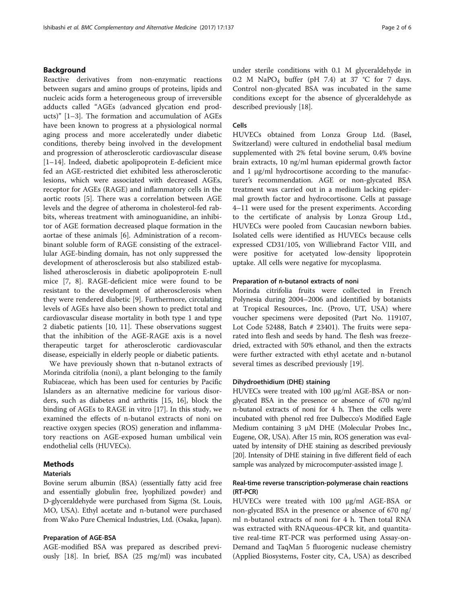### Background

Reactive derivatives from non-enzymatic reactions between sugars and amino groups of proteins, lipids and nucleic acids form a heterogeneous group of irreversible adducts called "AGEs (advanced glycation end products)" [\[1](#page-4-0)–[3](#page-4-0)]. The formation and accumulation of AGEs have been known to progress at a physiological normal aging process and more acceleratedly under diabetic conditions, thereby being involved in the development and progression of atherosclerotic cardiovascular disease [[1](#page-4-0)–[14\]](#page-5-0). Indeed, diabetic apolipoprotein E-deficient mice fed an AGE-restricted diet exhibited less atherosclerotic lesions, which were associated with decreased AGEs, receptor for AGEs (RAGE) and inflammatory cells in the aortic roots [[5\]](#page-4-0). There was a correlation between AGE levels and the degree of atheroma in cholesterol-fed rabbits, whereas treatment with aminoguanidine, an inhibitor of AGE formation decreased plaque formation in the aortae of these animals [[6\]](#page-4-0). Administration of a recombinant soluble form of RAGE consisting of the extracellular AGE-binding domain, has not only suppressed the development of atherosclerosis but also stabilized established atherosclerosis in diabetic apolipoprotein E-null mice [\[7](#page-4-0), [8\]](#page-5-0). RAGE-deficient mice were found to be resistant to the development of atherosclerosis when they were rendered diabetic [[9\]](#page-5-0). Furthermore, circulating levels of AGEs have also been shown to predict total and cardiovascular disease mortality in both type 1 and type 2 diabetic patients [\[10](#page-5-0), [11](#page-5-0)]. These observations suggest that the inhibition of the AGE-RAGE axis is a novel therapeutic target for atherosclerotic cardiovascular disease, espeicially in elderly people or diabetic patients.

We have previously shown that n-butanol extracts of Morinda citrifolia (noni), a plant belonging to the family Rubiaceae, which has been used for centuries by Pacific Islanders as an alternative medicine for various disorders, such as diabetes and arthritis [[15](#page-5-0), [16\]](#page-5-0), block the binding of AGEs to RAGE in vitro [[17](#page-5-0)]. In this study, we examined the effects of n-butanol extracts of noni on reactive oxygen species (ROS) generation and inflammatory reactions on AGE-exposed human umbilical vein endothelial cells (HUVECs).

### **Methods**

### **Materials**

Bovine serum albumin (BSA) (essentially fatty acid free and essentially globulin free, lyophilized powder) and D-glyceraldehyde were purchased from Sigma (St. Louis, MO, USA). Ethyl acetate and n-butanol were purchased from Wako Pure Chemical Industries, Ltd. (Osaka, Japan).

#### Preparation of AGE-BSA

AGE-modified BSA was prepared as described previously [\[18\]](#page-5-0). In brief, BSA (25 mg/ml) was incubated under sterile conditions with 0.1 M glyceraldehyde in 0.2 M NaPO<sub>4</sub> buffer (pH 7.4) at 37 °C for 7 days. Control non-glycated BSA was incubated in the same conditions except for the absence of glyceraldehyde as described previously [\[18\]](#page-5-0).

#### Cells

HUVECs obtained from Lonza Group Ltd. (Basel, Switzerland) were cultured in endothelial basal medium supplemented with 2% fetal bovine serum, 0.4% bovine brain extracts, 10 ng/ml human epidermal growth factor and  $1 \mu g/ml$  hydrocortisone according to the manufacturer's recommendation. AGE or non-glycated BSA treatment was carried out in a medium lacking epidermal growth factor and hydrocortisone. Cells at passage 4–11 were used for the present experiments. According to the certificate of analysis by Lonza Group Ltd., HUVECs were pooled from Caucasian newborn babies. Isolated cells were identified as HUVECs because cells expressed CD31/105, von Williebrand Factor VIII, and were positive for acetyated low-density lipoprotein uptake. All cells were negative for mycoplasma.

#### Preparation of n-butanol extracts of noni

Morinda citrifolia fruits were collected in French Polynesia during 2004–2006 and identified by botanists at Tropical Resources, Inc. (Provo, UT, USA) where voucher specimens were deposited (Part No. 119107, Lot Code 52488, Batch # 23401). The fruits were separated into flesh and seeds by hand. The flesh was freezedried, extracted with 50% ethanol, and then the extracts were further extracted with ethyl acetate and n-butanol several times as described previously [\[19\]](#page-5-0).

#### Dihydroethidium (DHE) staining

HUVECs were treated with 100 μg/ml AGE-BSA or nonglycated BSA in the presence or absence of 670 ng/ml n-butanol extracts of noni for 4 h. Then the cells were incubated with phenol red free Dulbecco's Modified Eagle Medium containing 3 μM DHE (Molecular Probes Inc., Eugene, OR, USA). After 15 min, ROS generation was evaluated by intensity of DHE staining as described previously [[20](#page-5-0)]. Intensity of DHE staining in five different field of each sample was analyzed by microcomputer-assisted image J.

### Real-time reverse transcription-polymerase chain reactions (RT-PCR)

HUVECs were treated with 100 μg/ml AGE-BSA or non-glycated BSA in the presence or absence of 670 ng/ ml n-butanol extracts of noni for 4 h. Then total RNA was extracted with RNAqueous-4PCR kit, and quantitative real-time RT-PCR was performed using Assay-on-Demand and TaqMan 5 fluorogenic nuclease chemistry (Applied Biosystems, Foster city, CA, USA) as described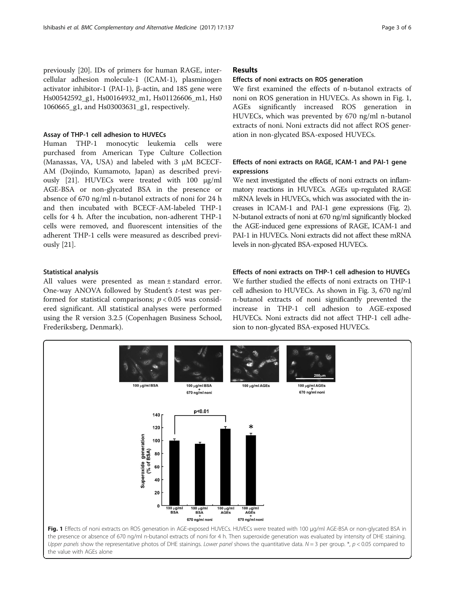previously [\[20\]](#page-5-0). IDs of primers for human RAGE, intercellular adhesion molecule-1 (ICAM-1), plasminogen activator inhibitor-1 (PAI-1), β-actin, and 18S gene were Hs00542592\_g1, Hs00164932\_m1, Hs01126606\_m1, Hs0 1060665\_g1, and Hs03003631\_g1, respectively.

#### Assay of THP-1 cell adhesion to HUVECs

Human THP-1 monocytic leukemia cells were purchased from American Type Culture Collection (Manassas, VA, USA) and labeled with 3 μM BCECF-AM (Dojindo, Kumamoto, Japan) as described previously [\[21](#page-5-0)]. HUVECs were treated with 100 μg/ml AGE-BSA or non-glycated BSA in the presence or absence of 670 ng/ml n-butanol extracts of noni for 24 h and then incubated with BCECF-AM-labeled THP-1 cells for 4 h. After the incubation, non-adherent THP-1 cells were removed, and fluorescent intensities of the adherent THP-1 cells were measured as described previously [[21\]](#page-5-0).

### Statistical analysis

All values were presented as mean ± standard error. One-way ANOVA followed by Student's t-test was performed for statistical comparisons;  $p < 0.05$  was considered significant. All statistical analyses were performed using the R version 3.2.5 (Copenhagen Business School, Frederiksberg, Denmark).

### Results

#### Effects of noni extracts on ROS generation

We first examined the effects of n-butanol extracts of noni on ROS generation in HUVECs. As shown in Fig. 1, AGEs significantly increased ROS generation in HUVECs, which was prevented by 670 ng/ml n-butanol extracts of noni. Noni extracts did not affect ROS generation in non-glycated BSA-exposed HUVECs.

### Effects of noni extracts on RAGE, ICAM-1 and PAI-1 gene expressions

We next investigated the effects of noni extracts on inflammatory reactions in HUVECs. AGEs up-regulated RAGE mRNA levels in HUVECs, which was associated with the increases in ICAM-1 and PAI-1 gene expressions (Fig. [2\)](#page-3-0). N-butanol extracts of noni at 670 ng/ml significantly blocked the AGE-induced gene expressions of RAGE, ICAM-1 and PAI-1 in HUVECs. Noni extracts did not affect these mRNA levels in non-glycated BSA-exposed HUVECs.

### Effects of noni extracts on THP-1 cell adhesion to HUVECs

We further studied the effects of noni extracts on THP-1 cell adhesion to HUVECs. As shown in Fig. [3](#page-3-0), 670 ng/ml n-butanol extracts of noni significantly prevented the increase in THP-1 cell adhesion to AGE-exposed HUVECs. Noni extracts did not affect THP-1 cell adhesion to non-glycated BSA-exposed HUVECs.

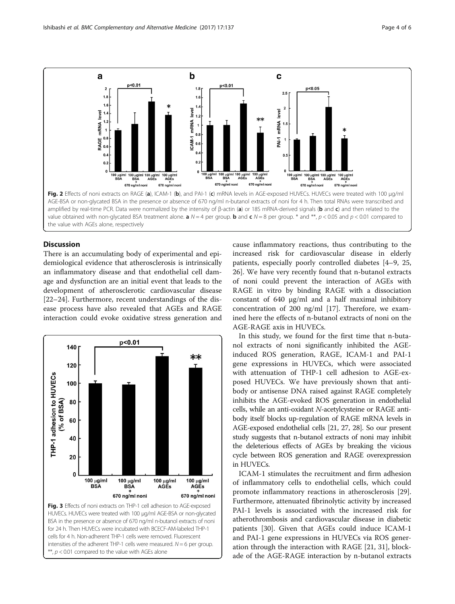<span id="page-3-0"></span>

#### Discussion

There is an accumulating body of experimental and epidemiological evidence that atherosclerosis is intrinsically an inflammatory disease and that endothelial cell damage and dysfunction are an initial event that leads to the development of atherosclerotic cardiovascular disease [[22](#page-5-0)–[24](#page-5-0)]. Furthermore, recent understandings of the disease process have also revealed that AGEs and RAGE interaction could evoke oxidative stress generation and



 $**$ ,  $p < 0.01$  compared to the value with AGEs alone

cause inflammatory reactions, thus contributing to the increased risk for cardiovascular disease in elderly patients, especially poorly controlled diabetes [\[4](#page-4-0)–[9](#page-5-0), [25](#page-5-0), [26\]](#page-5-0). We have very recently found that n-butanol extracts of noni could prevent the interaction of AGEs with RAGE in vitro by binding RAGE with a dissociation constant of 640 μg/ml and a half maximal inhibitory concentration of 200 ng/ml [\[17](#page-5-0)]. Therefore, we examined here the effects of n-butanol extracts of noni on the AGE-RAGE axis in HUVECs.

In this study, we found for the first time that n-butanol extracts of noni significantly inhibited the AGEinduced ROS generation, RAGE, ICAM-1 and PAI-1 gene expressions in HUVECs, which were associated with attenuation of THP-1 cell adhesion to AGE-exposed HUVECs. We have previously shown that antibody or antisense DNA raised against RAGE completely inhibits the AGE-evoked ROS generation in endothelial cells, while an anti-oxidant N-acetylcysteine or RAGE antibody itself blocks up-regulation of RAGE mRNA levels in AGE-exposed endothelial cells [\[21](#page-5-0), [27](#page-5-0), [28](#page-5-0)]. So our present study suggests that n-butanol extracts of noni may inhibit the deleterious effects of AGEs by breaking the vicious cycle between ROS generation and RAGE overexpression in HUVECs.

ICAM-1 stimulates the recruitment and firm adhesion of inflammatory cells to endothelial cells, which could promote inflammatory reactions in atherosclerosis [\[29](#page-5-0)]. Furthermore, attenuated fibrinolytic activity by increased PAI-1 levels is associated with the increased risk for atherothrombosis and cardiovascular disease in diabetic patients [\[30\]](#page-5-0). Given that AGEs could induce ICAM-1 and PAI-1 gene expressions in HUVECs via ROS generation through the interaction with RAGE [\[21, 31\]](#page-5-0), blockade of the AGE-RAGE interaction by n-butanol extracts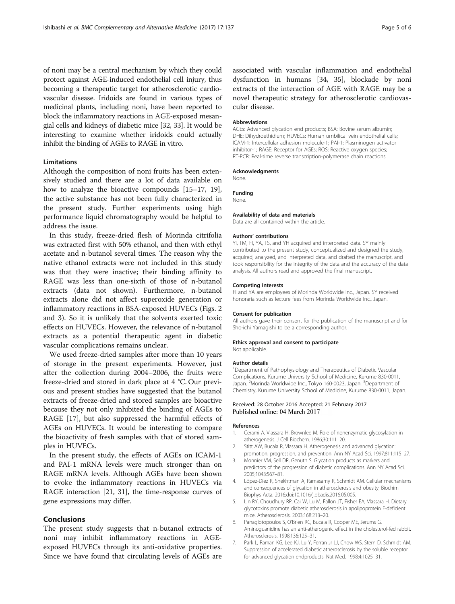<span id="page-4-0"></span>of noni may be a central mechanism by which they could protect against AGE-induced endothelial cell injury, thus becoming a therapeutic target for atherosclerotic cardiovascular disease. Iridoids are found in various types of medicinal plants, including noni, have been reported to block the inflammatory reactions in AGE-exposed mesangial cells and kidneys of diabetic mice [[32, 33\]](#page-5-0). It would be interesting to examine whether iridoids could actually inhibit the binding of AGEs to RAGE in vitro.

### **Limitations**

Although the composition of noni fruits has been extensively studied and there are a lot of data available on how to analyze the bioactive compounds [[15](#page-5-0)–[17](#page-5-0), [19](#page-5-0)], the active substance has not been fully characterized in the present study. Further experiments using high performance liquid chromatography would be helpful to address the issue.

In this study, freeze-dried flesh of Morinda citrifolia was extracted first with 50% ethanol, and then with ethyl acetate and n-butanol several times. The reason why the native ethanol extracts were not included in this study was that they were inactive; their binding affinity to RAGE was less than one-sixth of those of n-butanol extracts (data not shown). Furthermore, n-butanol extracts alone did not affect superoxide generation or inflammatory reactions in BSA-exposed HUVECs (Figs. [2](#page-3-0) and [3\)](#page-3-0). So it is unlikely that the solvents exerted toxic effects on HUVECs. However, the relevance of n-butanol extracts as a potential therapeutic agent in diabetic vascular complications remains unclear.

We used freeze-dried samples after more than 10 years of storage in the present experiments. However, just after the collection during 2004–2006, the fruits were freeze-dried and stored in dark place at 4 °C. Our previous and present studies have suggested that the butanol extracts of freeze-dried and stored samples are bioactive because they not only inhibited the binding of AGEs to RAGE [\[17](#page-5-0)], but also suppressed the harmful effects of AGEs on HUVECs. It would be interesting to compare the bioactivity of fresh samples with that of stored samples in HUVECs.

In the present study, the effects of AGEs on ICAM-1 and PAI-1 mRNA levels were much stronger than on RAGE mRNA levels. Although AGEs have been shown to evoke the inflammatory reactions in HUVECs via RAGE interaction [\[21](#page-5-0), [31](#page-5-0)], the time-response curves of gene expressions may differ.

### Conclusions

The present study suggests that n-butanol extracts of noni may inhibit inflammatory reactions in AGEexposed HUVECs through its anti-oxidative properties. Since we have found that circulating levels of AGEs are

associated with vascular inflammation and endothelial dysfunction in humans [[34, 35](#page-5-0)], blockade by noni extracts of the interaction of AGE with RAGE may be a novel therapeutic strategy for atherosclerotic cardiovascular disease.

#### Abbreviations

AGEs: Advanced glycation end products; BSA: Bovine serum albumin; DHE: Dihydroethidium; HUVECs: Human umbilical vein endothelial cells; ICAM-1: Intercellular adhesion molecule-1; PAI-1: Plasminogen activator inhibitor-1; RAGE: Receptor for AGEs; ROS: Reactive oxygen species; RT-PCR: Real-time reverse transcription-polymerase chain reactions

#### Acknowledgments

None.

### Funding

None.

### Availability of data and materials

Data are all contained within the article.

#### Authors' contributions

YI, TM, FI, YA, TS, and YH acquired and interpreted data. SY mainly contributed to the present study, conceptualized and designed the study, acquired, analyzed, and interpreted data, and drafted the manuscript, and took responsibility for the integrity of the data and the accuracy of the data analysis. All authors read and approved the final manuscript.

#### Competing interests

FI and YA are employees of Morinda Worldwide Inc., Japan. SY received honoraria such as lecture fees from Morinda Worldwide Inc., Japan.

#### Consent for publication

All authors gave their consent for the publication of the manuscript and for Sho-ichi Yamagishi to be a corresponding author.

#### Ethics approval and consent to participate

Not applicable.

#### Author details

<sup>1</sup>Department of Pathophysiology and Therapeutics of Diabetic Vascular Complications, Kurume University School of Medicine, Kurume 830-0011, Japan. <sup>2</sup>Morinda Worldwide Inc., Tokyo 160-0023, Japan. <sup>3</sup>Department of Chemistry, Kurume University School of Medicine, Kurume 830-0011, Japan.

#### Received: 28 October 2016 Accepted: 21 February 2017 Published online: 04 March 2017

#### References

- 1. Cerami A, Vlassara H, Brownlee M. Role of nonenzymatic glycosylation in atherogenesis. J Cell Biochem. 1986;30:111–20.
- Stitt AW, Bucala R, Vlassara H. Atherogenesis and advanced glycation: promotion, progression, and prevention. Ann NY Acad Sci. 1997;811:115–27.
- 3. Monnier VM, Sell DR, Genuth S. Glycation products as markers and predictors of the progression of diabetic complications. Ann NY Acad Sci. 2005;1043:567–81.
- 4. López-Díez R, Shekhtman A, Ramasamy R, Schmidt AM. Cellular mechanisms and consequences of glycation in atherosclerosis and obesity, Biochim Biophys Acta. 2016;doi[:10.1016/j.bbadis.2016.05.005.](http://dx.doi.org/10.1016/j.bbadis.2016.05.005)
- 5. Lin RY, Choudhury RP, Cai W, Lu M, Fallon JT, Fisher EA, Vlassara H. Dietary glycotoxins promote diabetic atherosclerosis in apolipoprotein E-deficient mice. Atherosclerosis. 2003;168:213–20.
- 6. Panagiotopoulos S, O'Brien RC, Bucala R, Cooper ME, Jerums G. Aminoguanidine has an anti-atherogenic effect in the cholesterol-fed rabbit. Atherosclerosis. 1998;136:125–31.
- 7. Park L, Raman KG, Lee KJ, Lu Y, Ferran Jr LJ, Chow WS, Stern D, Schmidt AM. Suppression of accelerated diabetic atherosclerosis by the soluble receptor for advanced glycation endproducts. Nat Med. 1998;4:1025–31.